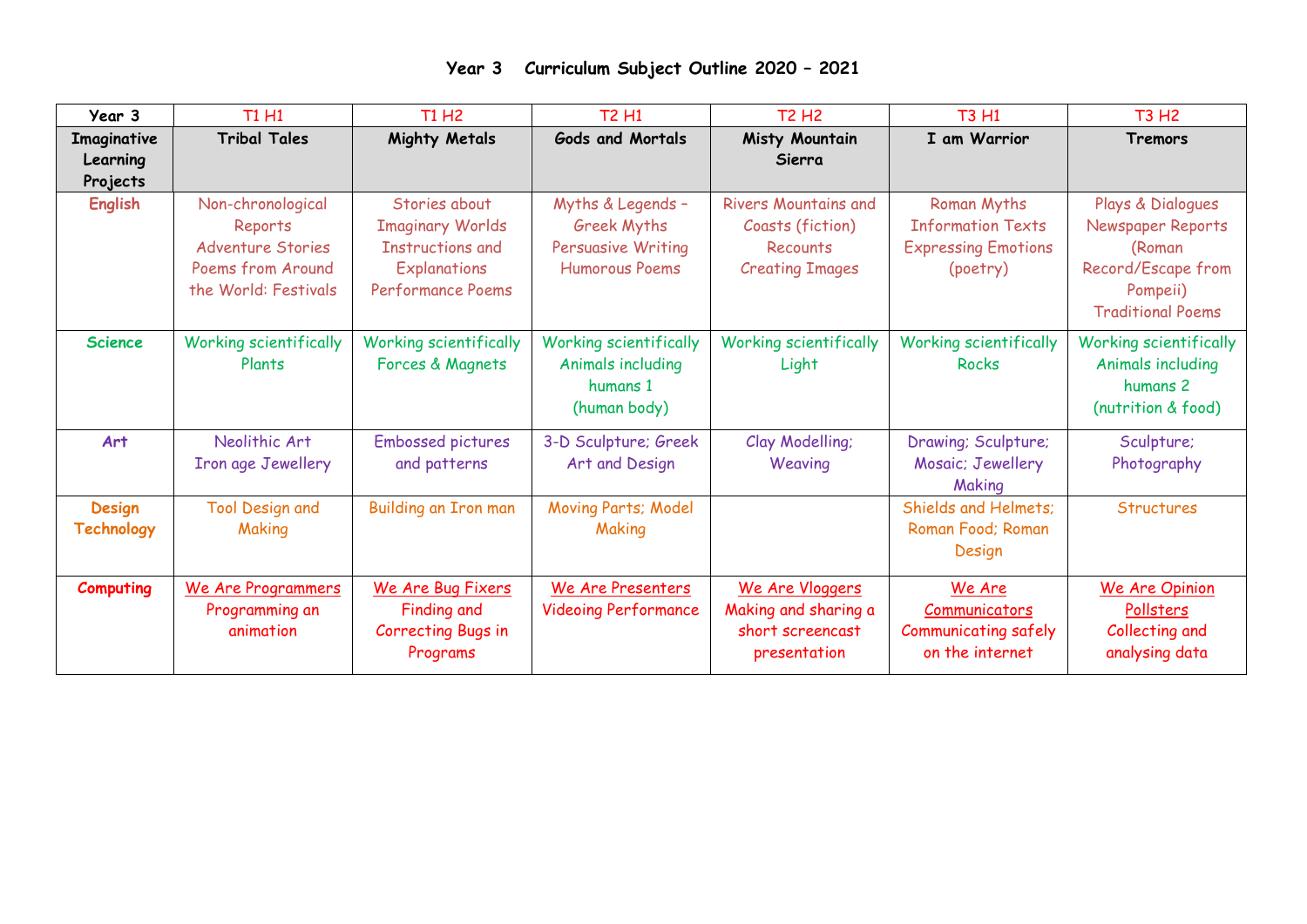| Year 3                              | <b>T1 H1</b>                                                                                          | <b>T1 H2</b>                                                                                                    | <b>T2 H1</b>                                                                                  | <b>T2 H2</b>                                                                          | <b>T3 H1</b>                                                                      | <b>T3 H2</b>                                                                                                   |
|-------------------------------------|-------------------------------------------------------------------------------------------------------|-----------------------------------------------------------------------------------------------------------------|-----------------------------------------------------------------------------------------------|---------------------------------------------------------------------------------------|-----------------------------------------------------------------------------------|----------------------------------------------------------------------------------------------------------------|
| Imaginative<br>Learning<br>Projects | <b>Tribal Tales</b>                                                                                   | <b>Mighty Metals</b>                                                                                            | <b>Gods and Mortals</b>                                                                       | Misty Mountain<br>Sierra                                                              | I am Warrior                                                                      | Tremors                                                                                                        |
| <b>English</b>                      | Non-chronological<br>Reports<br><b>Adventure Stories</b><br>Poems from Around<br>the World: Festivals | Stories about<br><b>Imaginary Worlds</b><br><b>Instructions and</b><br>Explanations<br><b>Performance Poems</b> | Myths & Legends -<br><b>Greek Myths</b><br><b>Persuasive Writing</b><br><b>Humorous Poems</b> | <b>Rivers Mountains and</b><br>Coasts (fiction)<br>Recounts<br><b>Creating Images</b> | Roman Myths<br><b>Information Texts</b><br><b>Expressing Emotions</b><br>(poetry) | Plays & Dialogues<br>Newspaper Reports<br>(Roman<br>Record/Escape from<br>Pompeii)<br><b>Traditional Poems</b> |
| <b>Science</b>                      | <b>Working scientifically</b><br>Plants                                                               | <b>Working scientifically</b><br>Forces & Magnets                                                               | <b>Working scientifically</b><br>Animals including<br>humans 1<br>(human body)                | <b>Working scientifically</b><br>Light                                                | <b>Working scientifically</b><br><b>Rocks</b>                                     | <b>Working scientifically</b><br>Animals including<br>humans 2<br>(nutrition & food)                           |
| Art                                 | Neolithic Art<br>Iron age Jewellery                                                                   | <b>Embossed pictures</b><br>and patterns                                                                        | 3-D Sculpture; Greek<br>Art and Design                                                        | Clay Modelling;<br>Weaving                                                            | Drawing; Sculpture;<br>Mosaic; Jewellery<br>Making                                | Sculpture;<br>Photography                                                                                      |
| <b>Design</b><br><b>Technology</b>  | <b>Tool Design and</b><br>Making                                                                      | Building an Iron man                                                                                            | Moving Parts; Model<br>Making                                                                 |                                                                                       | Shields and Helmets;<br>Roman Food; Roman<br>Design                               | <b>Structures</b>                                                                                              |
| <b>Computing</b>                    | We Are Programmers<br>Programming an<br>animation                                                     | We Are Bug Fixers<br><b>Finding and</b><br><b>Correcting Bugs in</b><br>Programs                                | We Are Presenters<br><b>Videoing Performance</b>                                              | We Are Vloggers<br>Making and sharing a<br>short screencast<br>presentation           | We Are<br>Communicators<br><b>Communicating safely</b><br>on the internet         | We Are Opinion<br>Pollsters<br>Collecting and<br>analysing data                                                |